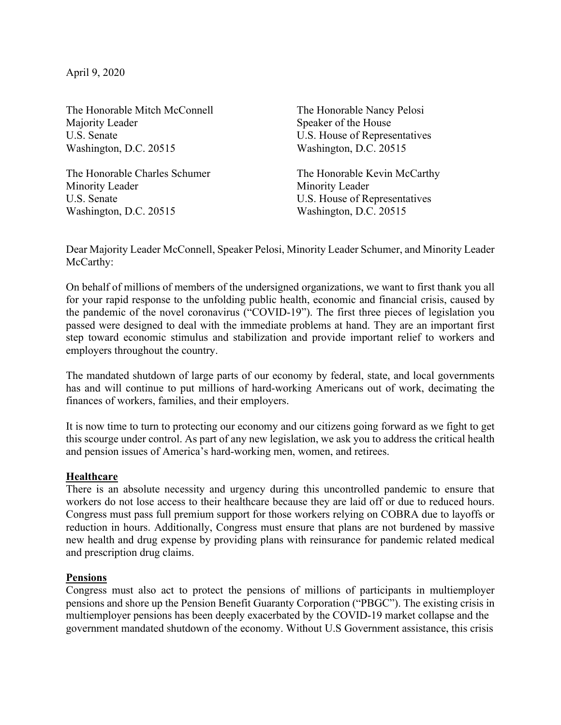April 9, 2020

The Honorable Mitch McConnell The Honorable Nancy Pelosi Majority Leader Speaker of the House U.S. Senate U.S. House of Representatives Washington, D.C. 20515 Washington, D.C. 20515

The Honorable Charles Schumer The Honorable Kevin McCarthy Minority Leader Minority Leader U.S. Senate U.S. House of Representatives Washington, D.C. 20515 Washington, D.C. 20515

Dear Majority Leader McConnell, Speaker Pelosi, Minority Leader Schumer, and Minority Leader McCarthy:

On behalf of millions of members of the undersigned organizations, we want to first thank you all for your rapid response to the unfolding public health, economic and financial crisis, caused by the pandemic of the novel coronavirus ("COVID-19"). The first three pieces of legislation you passed were designed to deal with the immediate problems at hand. They are an important first step toward economic stimulus and stabilization and provide important relief to workers and employers throughout the country.

The mandated shutdown of large parts of our economy by federal, state, and local governments has and will continue to put millions of hard-working Americans out of work, decimating the finances of workers, families, and their employers.

It is now time to turn to protecting our economy and our citizens going forward as we fight to get this scourge under control. As part of any new legislation, we ask you to address the critical health and pension issues of America's hard-working men, women, and retirees.

## **Healthcare**

There is an absolute necessity and urgency during this uncontrolled pandemic to ensure that workers do not lose access to their healthcare because they are laid off or due to reduced hours. Congress must pass full premium support for those workers relying on COBRA due to layoffs or reduction in hours. Additionally, Congress must ensure that plans are not burdened by massive new health and drug expense by providing plans with reinsurance for pandemic related medical and prescription drug claims.

## **Pensions**

Congress must also act to protect the pensions of millions of participants in multiemployer pensions and shore up the Pension Benefit Guaranty Corporation ("PBGC"). The existing crisis in multiemployer pensions has been deeply exacerbated by the COVID-19 market collapse and the government mandated shutdown of the economy. Without U.S Government assistance, this crisis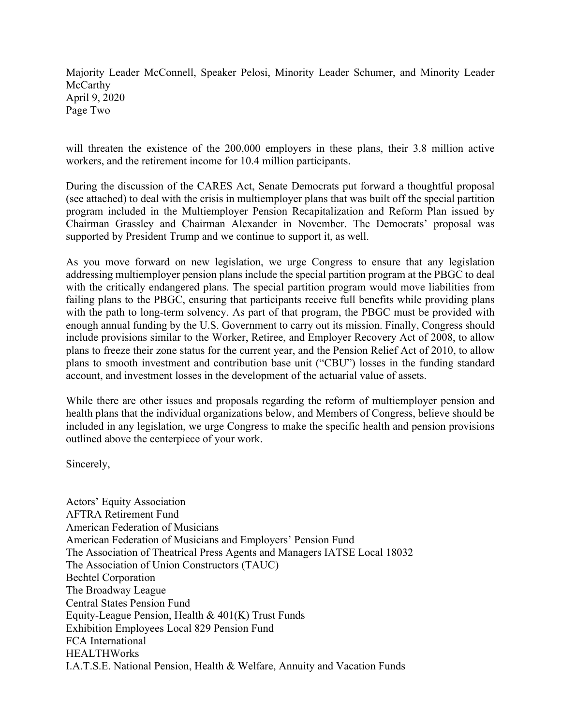Majority Leader McConnell, Speaker Pelosi, Minority Leader Schumer, and Minority Leader McCarthy April 9, 2020 Page Two

will threaten the existence of the 200,000 employers in these plans, their 3.8 million active workers, and the retirement income for 10.4 million participants.

During the discussion of the CARES Act, Senate Democrats put forward a thoughtful proposal (see attached) to deal with the crisis in multiemployer plans that was built off the special partition program included in the Multiemployer Pension Recapitalization and Reform Plan issued by Chairman Grassley and Chairman Alexander in November. The Democrats' proposal was supported by President Trump and we continue to support it, as well.

As you move forward on new legislation, we urge Congress to ensure that any legislation addressing multiemployer pension plans include the special partition program at the PBGC to deal with the critically endangered plans. The special partition program would move liabilities from failing plans to the PBGC, ensuring that participants receive full benefits while providing plans with the path to long-term solvency. As part of that program, the PBGC must be provided with enough annual funding by the U.S. Government to carry out its mission. Finally, Congress should include provisions similar to the Worker, Retiree, and Employer Recovery Act of 2008, to allow plans to freeze their zone status for the current year, and the Pension Relief Act of 2010, to allow plans to smooth investment and contribution base unit ("CBU") losses in the funding standard account, and investment losses in the development of the actuarial value of assets.

While there are other issues and proposals regarding the reform of multiemployer pension and health plans that the individual organizations below, and Members of Congress, believe should be included in any legislation, we urge Congress to make the specific health and pension provisions outlined above the centerpiece of your work.

Sincerely,

Actors' Equity Association AFTRA Retirement Fund American Federation of Musicians American Federation of Musicians and Employers' Pension Fund The Association of Theatrical Press Agents and Managers IATSE Local 18032 The Association of Union Constructors (TAUC) Bechtel Corporation The Broadway League Central States Pension Fund Equity-League Pension, Health & 401(K) Trust Funds Exhibition Employees Local 829 Pension Fund FCA International HEALTHWorks I.A.T.S.E. National Pension, Health & Welfare, Annuity and Vacation Funds